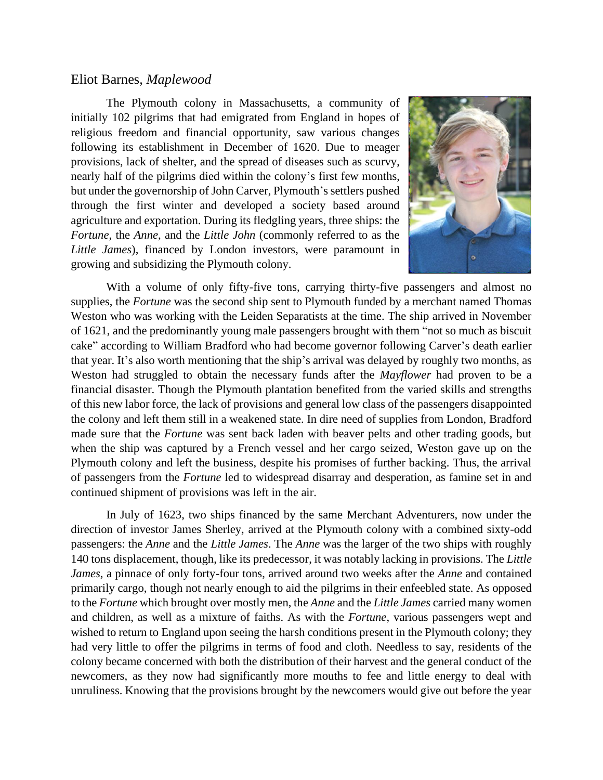## Eliot Barnes, *Maplewood*

The Plymouth colony in Massachusetts, a community of initially 102 pilgrims that had emigrated from England in hopes of religious freedom and financial opportunity, saw various changes following its establishment in December of 1620. Due to meager provisions, lack of shelter, and the spread of diseases such as scurvy, nearly half of the pilgrims died within the colony's first few months, but under the governorship of John Carver, Plymouth's settlers pushed through the first winter and developed a society based around agriculture and exportation. During its fledgling years, three ships: the *Fortune*, the *Anne*, and the *Little John* (commonly referred to as the *Little James*), financed by London investors, were paramount in growing and subsidizing the Plymouth colony.



With a volume of only fifty-five tons, carrying thirty-five passengers and almost no supplies, the *Fortune* was the second ship sent to Plymouth funded by a merchant named Thomas Weston who was working with the Leiden Separatists at the time. The ship arrived in November of 1621, and the predominantly young male passengers brought with them "not so much as biscuit cake" according to William Bradford who had become governor following Carver's death earlier that year. It's also worth mentioning that the ship's arrival was delayed by roughly two months, as Weston had struggled to obtain the necessary funds after the *Mayflower* had proven to be a financial disaster. Though the Plymouth plantation benefited from the varied skills and strengths of this new labor force, the lack of provisions and general low class of the passengers disappointed the colony and left them still in a weakened state. In dire need of supplies from London, Bradford made sure that the *Fortune* was sent back laden with beaver pelts and other trading goods, but when the ship was captured by a French vessel and her cargo seized, Weston gave up on the Plymouth colony and left the business, despite his promises of further backing. Thus, the arrival of passengers from the *Fortune* led to widespread disarray and desperation, as famine set in and continued shipment of provisions was left in the air.

In July of 1623, two ships financed by the same Merchant Adventurers, now under the direction of investor James Sherley, arrived at the Plymouth colony with a combined sixty-odd passengers: the *Anne* and the *Little James*. The *Anne* was the larger of the two ships with roughly 140 tons displacement, though, like its predecessor, it was notably lacking in provisions. The *Little James*, a pinnace of only forty-four tons, arrived around two weeks after the *Anne* and contained primarily cargo, though not nearly enough to aid the pilgrims in their enfeebled state. As opposed to the *Fortune* which brought over mostly men, the *Anne* and the *Little James* carried many women and children, as well as a mixture of faiths. As with the *Fortune*, various passengers wept and wished to return to England upon seeing the harsh conditions present in the Plymouth colony; they had very little to offer the pilgrims in terms of food and cloth. Needless to say, residents of the colony became concerned with both the distribution of their harvest and the general conduct of the newcomers, as they now had significantly more mouths to fee and little energy to deal with unruliness. Knowing that the provisions brought by the newcomers would give out before the year